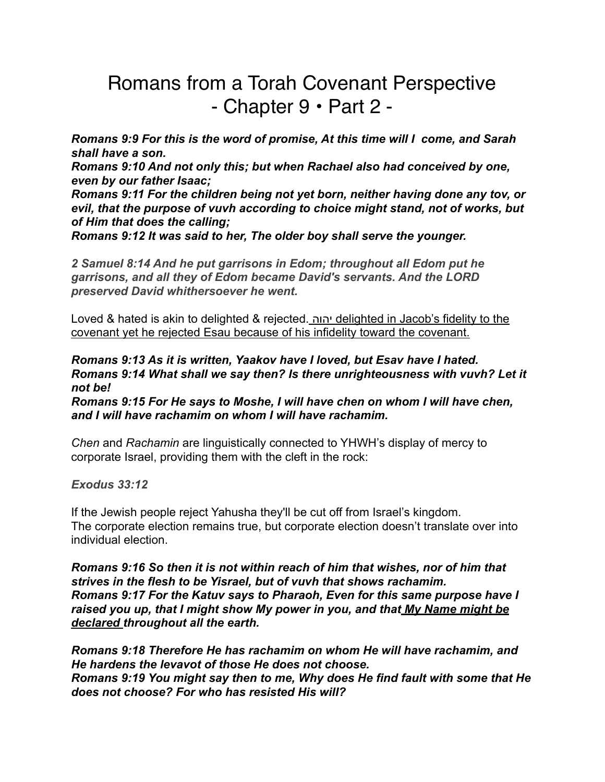## Romans from a Torah Covenant Perspective - Chapter 9 • Part 2 -

*Romans 9:9 For this is the word of promise, At this time will I come, and Sarah shall have a son.* 

*Romans 9:10 And not only this; but when Rachael also had conceived by one, even by our father Isaac;* 

*Romans 9:11 For the children being not yet born, neither having done any tov, or evil, that the purpose of vuvh according to choice might stand, not of works, but of Him that does the calling;* 

*Romans 9:12 It was said to her, The older boy shall serve the younger.* 

*2 Samuel 8:14 And he put garrisons in Edom; throughout all Edom put he garrisons, and all they of Edom became David's servants. And the LORD preserved David whithersoever he went.*

Loved & hated is akin to delighted & rejected. יהוה delighted in Jacob's fidelity to the covenant yet he rejected Esau because of his infidelity toward the covenant.

*Romans 9:13 As it is written, Yaakov have I loved, but Esav have I hated. Romans 9:14 What shall we say then? Is there unrighteousness with vuvh? Let it not be!* 

*Romans 9:15 For He says to Moshe, I will have chen on whom I will have chen, and I will have rachamim on whom I will have rachamim.* 

*Chen* and *Rachamin* are linguistically connected to YHWH's display of mercy to corporate Israel, providing them with the cleft in the rock:

## *Exodus 33:12*

If the Jewish people reject Yahusha they'll be cut off from Israel's kingdom. The corporate election remains true, but corporate election doesn't translate over into individual election.

*Romans 9:16 So then it is not within reach of him that wishes, nor of him that strives in the flesh to be Yisrael, but of vuvh that shows rachamim. Romans 9:17 For the Katuv says to Pharaoh, Even for this same purpose have I raised you up, that I might show My power in you, and that My Name might be declared throughout all the earth.* 

*Romans 9:18 Therefore He has rachamim on whom He will have rachamim, and He hardens the levavot of those He does not choose. Romans 9:19 You might say then to me, Why does He find fault with some that He does not choose? For who has resisted His will?*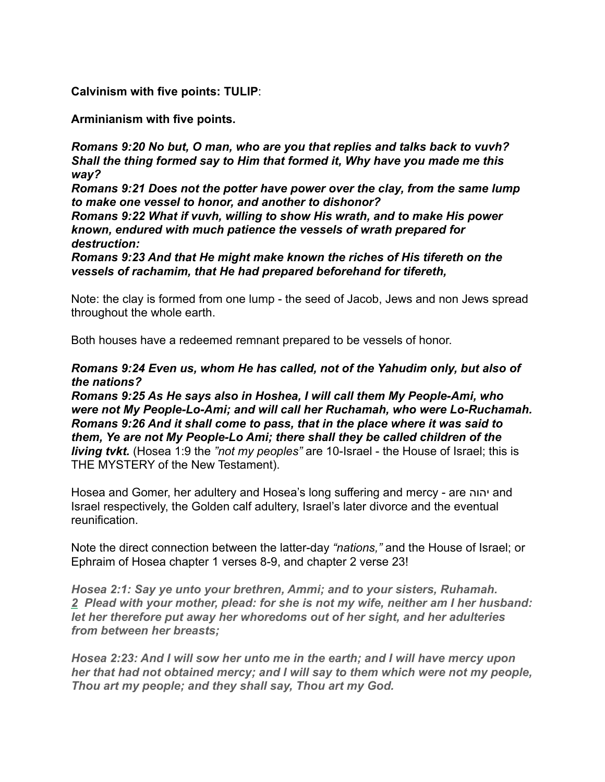**Calvinism with five points: TULIP**:

**Arminianism with five points.** 

*Romans 9:20 No but, O man, who are you that replies and talks back to vuvh? Shall the thing formed say to Him that formed it, Why have you made me this way?* 

*Romans 9:21 Does not the potter have power over the clay, from the same lump to make one vessel to honor, and another to dishonor?* 

*Romans 9:22 What if vuvh, willing to show His wrath, and to make His power known, endured with much patience the vessels of wrath prepared for destruction:* 

*Romans 9:23 And that He might make known the riches of His tifereth on the vessels of rachamim, that He had prepared beforehand for tifereth,* 

Note: the clay is formed from one lump - the seed of Jacob, Jews and non Jews spread throughout the whole earth.

Both houses have a redeemed remnant prepared to be vessels of honor.

## *Romans 9:24 Even us, whom He has called, not of the Yahudim only, but also of the nations?*

*Romans 9:25 As He says also in Hoshea, I will call them My People-Ami, who were not My People-Lo-Ami; and will call her Ruchamah, who were Lo-Ruchamah. Romans 9:26 And it shall come to pass, that in the place where it was said to them, Ye are not My People-Lo Ami; there shall they be called children of the living tvkt.* (Hosea 1:9 the *"not my peoples"* are 10-Israel - the House of Israel; this is THE MYSTERY of the New Testament).

Hosea and Gomer, her adultery and Hosea's long suffering and mercy - are יהוה and Israel respectively, the Golden calf adultery, Israel's later divorce and the eventual reunification.

Note the direct connection between the latter-day *"nations,"* and the House of Israel; or Ephraim of Hosea chapter 1 verses 8-9, and chapter 2 verse 23!

*Hosea 2:1: Say ye unto your brethren, Ammi; and to your sisters, Ruhamah. 2 Plead with your mother, plead: for she is not my wife, neither am I her husband: let her therefore put away her whoredoms out of her sight, and her adulteries from between her breasts;*

*Hosea 2:23: And I will sow her unto me in the earth; and I will have mercy upon her that had not obtained mercy; and I will say to them which were not my people, Thou art my people; and they shall say, Thou art my God.*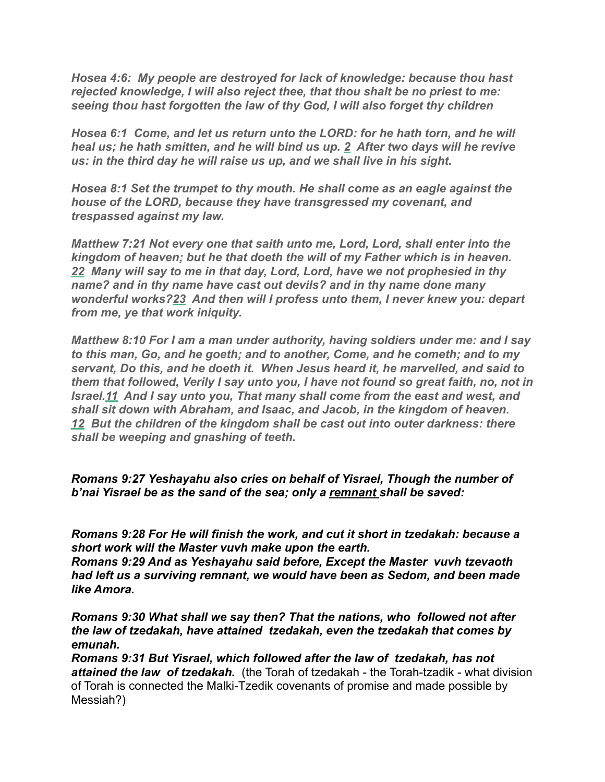*Hosea 4:6: My people are destroyed for lack of knowledge: because thou hast rejected knowledge, I will also reject thee, that thou shalt be no priest to me: seeing thou hast forgotten the law of thy God, I will also forget thy children*

*Hosea 6:1 Come, and let us return unto the LORD: for he hath torn, and he will heal us; he hath smitten, and he will bind us up. 2 After two days will he revive us: in the third day he will raise us up, and we shall live in his sight.* 

*Hosea 8:1 Set the trumpet to thy mouth. He shall come as an eagle against the house of the LORD, because they have transgressed my covenant, and trespassed against my law.* 

*Matthew 7:21 Not every one that saith unto me, Lord, Lord, shall enter into the kingdom of heaven; but he that doeth the will of my Father which is in heaven. 22 Many will say to me in that day, Lord, Lord, have we not prophesied in thy name? and in thy name have cast out devils? and in thy name done many wonderful works?23 And then will I profess unto them, I never knew you: depart from me, ye that work iniquity.* 

*Matthew 8:10 For I am a man under authority, having soldiers under me: and I say to this man, Go, and he goeth; and to another, Come, and he cometh; and to my servant, Do this, and he doeth it. When Jesus heard it, he marvelled, and said to them that followed, Verily I say unto you, I have not found so great faith, no, not in Israel.11 And I say unto you, That many shall come from the east and west, and shall sit down with Abraham, and Isaac, and Jacob, in the kingdom of heaven. 12 But the children of the kingdom shall be cast out into outer darkness: there shall be weeping and gnashing of teeth.* 

## *Romans 9:27 Yeshayahu also cries on behalf of Yisrael, Though the number of b'nai Yisrael be as the sand of the sea; only a remnant shall be saved:*

*Romans 9:28 For He will finish the work, and cut it short in tzedakah: because a short work will the Master vuvh make upon the earth.* 

*Romans 9:29 And as Yeshayahu said before, Except the Master vuvh tzevaoth had left us a surviving remnant, we would have been as Sedom, and been made like Amora.* 

*Romans 9:30 What shall we say then? That the nations, who followed not after the law of tzedakah, have attained tzedakah, even the tzedakah that comes by emunah.* 

*Romans 9:31 But Yisrael, which followed after the law of tzedakah, has not attained the law of tzedakah.* (the Torah of tzedakah - the Torah-tzadik - what division of Torah is connected the Malki-Tzedik covenants of promise and made possible by Messiah?)